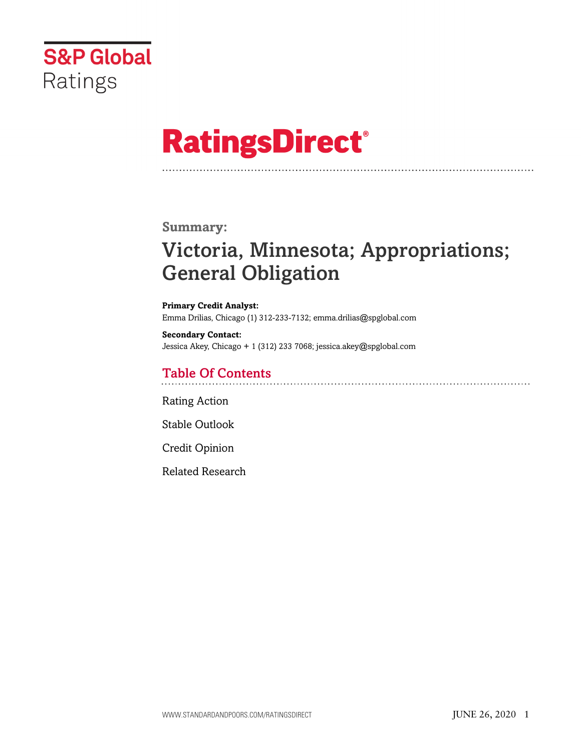

# **RatingsDirect®**

## **Summary:**

## Victoria, Minnesota; Appropriations; General Obligation

**Primary Credit Analyst:** Emma Drilias, Chicago (1) 312-233-7132; emma.drilias@spglobal.com

**Secondary Contact:** Jessica Akey, Chicago + 1 (312) 233 7068; jessica.akey@spglobal.com

## Table Of Contents

[Rating Action](#page-1-0)

[Stable Outlook](#page-2-0)

[Credit Opinion](#page-2-1)

[Related Research](#page-6-0)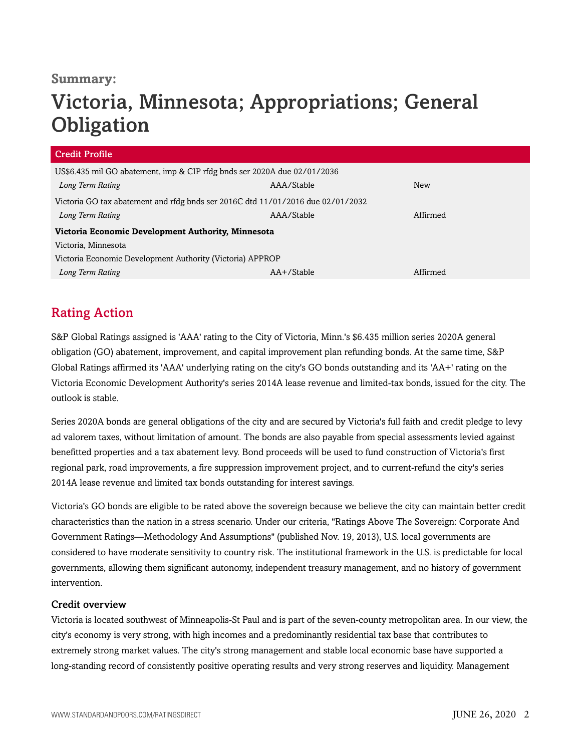## **Summary:**

## Victoria, Minnesota; Appropriations; General **Obligation**

| <b>Credit Profile</b>                                                           |                |            |  |
|---------------------------------------------------------------------------------|----------------|------------|--|
| US\$6.435 mil GO abatement, imp & CIP rfdg bnds ser 2020A due 02/01/2036        |                |            |  |
| Long Term Rating                                                                | AAA/Stable     | <b>New</b> |  |
| Victoria GO tax abatement and rfdg bnds ser 2016C dtd 11/01/2016 due 02/01/2032 |                |            |  |
| Long Term Rating                                                                | AAA/Stable     | Affirmed   |  |
| Victoria Economic Development Authority, Minnesota                              |                |            |  |
| Victoria. Minnesota                                                             |                |            |  |
| Victoria Economic Development Authority (Victoria) APPROP                       |                |            |  |
| Long Term Rating                                                                | $AA + /Stable$ | Affirmed   |  |

## <span id="page-1-0"></span>Rating Action

S&P Global Ratings assigned is 'AAA' rating to the City of Victoria, Minn.'s \$6.435 million series 2020A general obligation (GO) abatement, improvement, and capital improvement plan refunding bonds. At the same time, S&P Global Ratings affirmed its 'AAA' underlying rating on the city's GO bonds outstanding and its 'AA+' rating on the Victoria Economic Development Authority's series 2014A lease revenue and limited-tax bonds, issued for the city. The outlook is stable.

Series 2020A bonds are general obligations of the city and are secured by Victoria's full faith and credit pledge to levy ad valorem taxes, without limitation of amount. The bonds are also payable from special assessments levied against benefitted properties and a tax abatement levy. Bond proceeds will be used to fund construction of Victoria's first regional park, road improvements, a fire suppression improvement project, and to current-refund the city's series 2014A lease revenue and limited tax bonds outstanding for interest savings.

Victoria's GO bonds are eligible to be rated above the sovereign because we believe the city can maintain better credit characteristics than the nation in a stress scenario. Under our criteria, "Ratings Above The Sovereign: Corporate And Government Ratings—Methodology And Assumptions" (published Nov. 19, 2013), U.S. local governments are considered to have moderate sensitivity to country risk. The institutional framework in the U.S. is predictable for local governments, allowing them significant autonomy, independent treasury management, and no history of government intervention.

### Credit overview

Victoria is located southwest of Minneapolis-St Paul and is part of the seven-county metropolitan area. In our view, the city's economy is very strong, with high incomes and a predominantly residential tax base that contributes to extremely strong market values. The city's strong management and stable local economic base have supported a long-standing record of consistently positive operating results and very strong reserves and liquidity. Management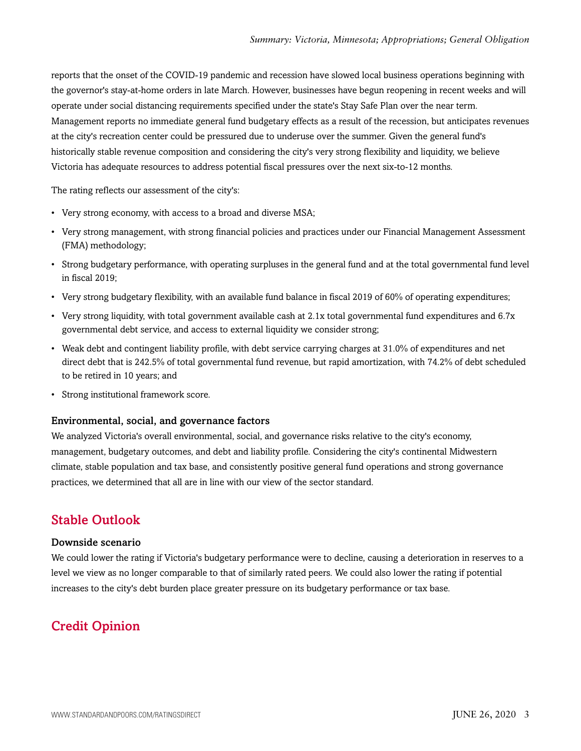reports that the onset of the COVID-19 pandemic and recession have slowed local business operations beginning with the governor's stay-at-home orders in late March. However, businesses have begun reopening in recent weeks and will operate under social distancing requirements specified under the state's Stay Safe Plan over the near term. Management reports no immediate general fund budgetary effects as a result of the recession, but anticipates revenues at the city's recreation center could be pressured due to underuse over the summer. Given the general fund's historically stable revenue composition and considering the city's very strong flexibility and liquidity, we believe Victoria has adequate resources to address potential fiscal pressures over the next six-to-12 months.

The rating reflects our assessment of the city's:

- Very strong economy, with access to a broad and diverse MSA;
- Very strong management, with strong financial policies and practices under our Financial Management Assessment (FMA) methodology;
- Strong budgetary performance, with operating surpluses in the general fund and at the total governmental fund level in fiscal 2019;
- Very strong budgetary flexibility, with an available fund balance in fiscal 2019 of 60% of operating expenditures;
- Very strong liquidity, with total government available cash at 2.1x total governmental fund expenditures and 6.7x governmental debt service, and access to external liquidity we consider strong;
- Weak debt and contingent liability profile, with debt service carrying charges at 31.0% of expenditures and net direct debt that is 242.5% of total governmental fund revenue, but rapid amortization, with 74.2% of debt scheduled to be retired in 10 years; and
- Strong institutional framework score.

### Environmental, social, and governance factors

We analyzed Victoria's overall environmental, social, and governance risks relative to the city's economy, management, budgetary outcomes, and debt and liability profile. Considering the city's continental Midwestern climate, stable population and tax base, and consistently positive general fund operations and strong governance practices, we determined that all are in line with our view of the sector standard.

## <span id="page-2-0"></span>Stable Outlook

### Downside scenario

We could lower the rating if Victoria's budgetary performance were to decline, causing a deterioration in reserves to a level we view as no longer comparable to that of similarly rated peers. We could also lower the rating if potential increases to the city's debt burden place greater pressure on its budgetary performance or tax base.

## <span id="page-2-1"></span>Credit Opinion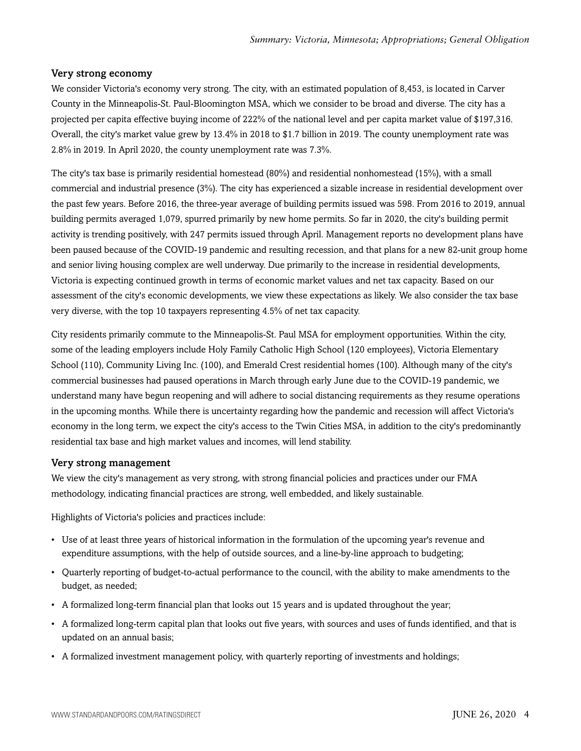#### Very strong economy

We consider Victoria's economy very strong. The city, with an estimated population of 8,453, is located in Carver County in the Minneapolis-St. Paul-Bloomington MSA, which we consider to be broad and diverse. The city has a projected per capita effective buying income of 222% of the national level and per capita market value of \$197,316. Overall, the city's market value grew by 13.4% in 2018 to \$1.7 billion in 2019. The county unemployment rate was 2.8% in 2019. In April 2020, the county unemployment rate was 7.3%.

The city's tax base is primarily residential homestead (80%) and residential nonhomestead (15%), with a small commercial and industrial presence (3%). The city has experienced a sizable increase in residential development over the past few years. Before 2016, the three-year average of building permits issued was 598. From 2016 to 2019, annual building permits averaged 1,079, spurred primarily by new home permits. So far in 2020, the city's building permit activity is trending positively, with 247 permits issued through April. Management reports no development plans have been paused because of the COVID-19 pandemic and resulting recession, and that plans for a new 82-unit group home and senior living housing complex are well underway. Due primarily to the increase in residential developments, Victoria is expecting continued growth in terms of economic market values and net tax capacity. Based on our assessment of the city's economic developments, we view these expectations as likely. We also consider the tax base very diverse, with the top 10 taxpayers representing 4.5% of net tax capacity.

City residents primarily commute to the Minneapolis-St. Paul MSA for employment opportunities. Within the city, some of the leading employers include Holy Family Catholic High School (120 employees), Victoria Elementary School (110), Community Living Inc. (100), and Emerald Crest residential homes (100). Although many of the city's commercial businesses had paused operations in March through early June due to the COVID-19 pandemic, we understand many have begun reopening and will adhere to social distancing requirements as they resume operations in the upcoming months. While there is uncertainty regarding how the pandemic and recession will affect Victoria's economy in the long term, we expect the city's access to the Twin Cities MSA, in addition to the city's predominantly residential tax base and high market values and incomes, will lend stability.

#### Very strong management

We view the city's management as very strong, with strong financial policies and practices under our FMA methodology, indicating financial practices are strong, well embedded, and likely sustainable.

Highlights of Victoria's policies and practices include:

- Use of at least three years of historical information in the formulation of the upcoming year's revenue and expenditure assumptions, with the help of outside sources, and a line-by-line approach to budgeting;
- Quarterly reporting of budget-to-actual performance to the council, with the ability to make amendments to the budget, as needed;
- A formalized long-term financial plan that looks out 15 years and is updated throughout the year;
- A formalized long-term capital plan that looks out five years, with sources and uses of funds identified, and that is updated on an annual basis;
- A formalized investment management policy, with quarterly reporting of investments and holdings;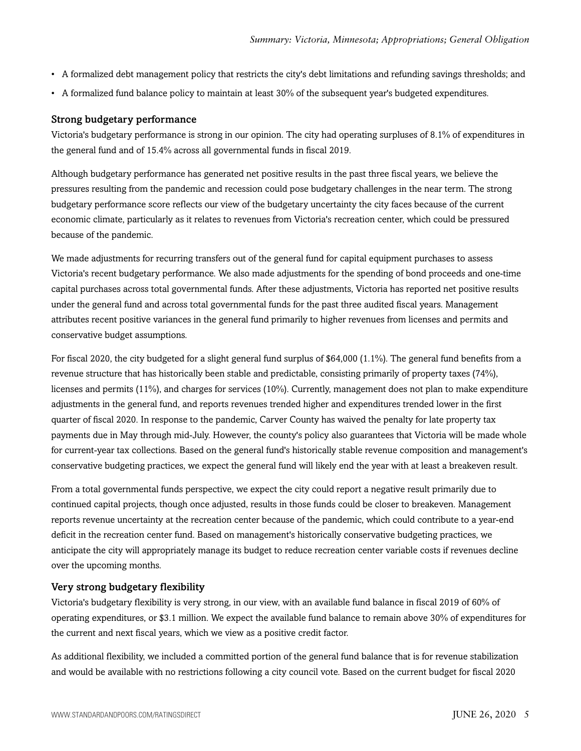- A formalized debt management policy that restricts the city's debt limitations and refunding savings thresholds; and
- A formalized fund balance policy to maintain at least 30% of the subsequent year's budgeted expenditures.

### Strong budgetary performance

Victoria's budgetary performance is strong in our opinion. The city had operating surpluses of 8.1% of expenditures in the general fund and of 15.4% across all governmental funds in fiscal 2019.

Although budgetary performance has generated net positive results in the past three fiscal years, we believe the pressures resulting from the pandemic and recession could pose budgetary challenges in the near term. The strong budgetary performance score reflects our view of the budgetary uncertainty the city faces because of the current economic climate, particularly as it relates to revenues from Victoria's recreation center, which could be pressured because of the pandemic.

We made adjustments for recurring transfers out of the general fund for capital equipment purchases to assess Victoria's recent budgetary performance. We also made adjustments for the spending of bond proceeds and one-time capital purchases across total governmental funds. After these adjustments, Victoria has reported net positive results under the general fund and across total governmental funds for the past three audited fiscal years. Management attributes recent positive variances in the general fund primarily to higher revenues from licenses and permits and conservative budget assumptions.

For fiscal 2020, the city budgeted for a slight general fund surplus of \$64,000 (1.1%). The general fund benefits from a revenue structure that has historically been stable and predictable, consisting primarily of property taxes (74%), licenses and permits (11%), and charges for services (10%). Currently, management does not plan to make expenditure adjustments in the general fund, and reports revenues trended higher and expenditures trended lower in the first quarter of fiscal 2020. In response to the pandemic, Carver County has waived the penalty for late property tax payments due in May through mid-July. However, the county's policy also guarantees that Victoria will be made whole for current-year tax collections. Based on the general fund's historically stable revenue composition and management's conservative budgeting practices, we expect the general fund will likely end the year with at least a breakeven result.

From a total governmental funds perspective, we expect the city could report a negative result primarily due to continued capital projects, though once adjusted, results in those funds could be closer to breakeven. Management reports revenue uncertainty at the recreation center because of the pandemic, which could contribute to a year-end deficit in the recreation center fund. Based on management's historically conservative budgeting practices, we anticipate the city will appropriately manage its budget to reduce recreation center variable costs if revenues decline over the upcoming months.

### Very strong budgetary flexibility

Victoria's budgetary flexibility is very strong, in our view, with an available fund balance in fiscal 2019 of 60% of operating expenditures, or \$3.1 million. We expect the available fund balance to remain above 30% of expenditures for the current and next fiscal years, which we view as a positive credit factor.

As additional flexibility, we included a committed portion of the general fund balance that is for revenue stabilization and would be available with no restrictions following a city council vote. Based on the current budget for fiscal 2020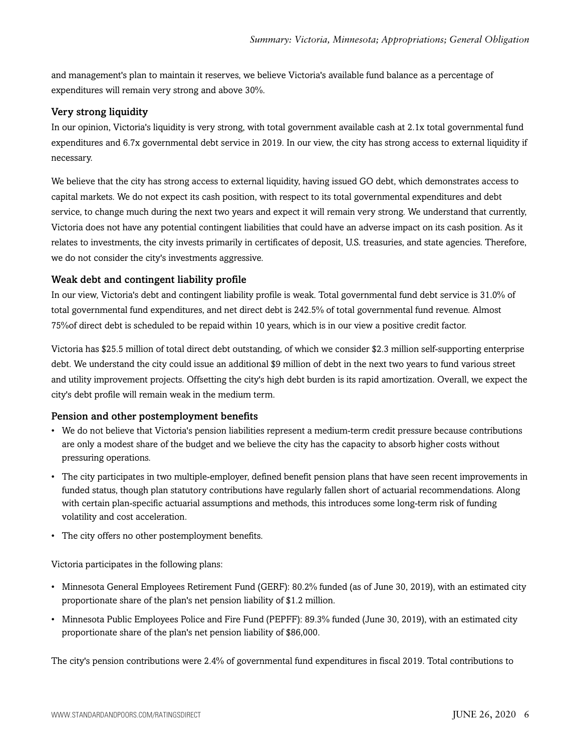and management's plan to maintain it reserves, we believe Victoria's available fund balance as a percentage of expenditures will remain very strong and above 30%.

## Very strong liquidity

In our opinion, Victoria's liquidity is very strong, with total government available cash at 2.1x total governmental fund expenditures and 6.7x governmental debt service in 2019. In our view, the city has strong access to external liquidity if necessary.

We believe that the city has strong access to external liquidity, having issued GO debt, which demonstrates access to capital markets. We do not expect its cash position, with respect to its total governmental expenditures and debt service, to change much during the next two years and expect it will remain very strong. We understand that currently, Victoria does not have any potential contingent liabilities that could have an adverse impact on its cash position. As it relates to investments, the city invests primarily in certificates of deposit, U.S. treasuries, and state agencies. Therefore, we do not consider the city's investments aggressive.

## Weak debt and contingent liability profile

In our view, Victoria's debt and contingent liability profile is weak. Total governmental fund debt service is 31.0% of total governmental fund expenditures, and net direct debt is 242.5% of total governmental fund revenue. Almost 75%of direct debt is scheduled to be repaid within 10 years, which is in our view a positive credit factor.

Victoria has \$25.5 million of total direct debt outstanding, of which we consider \$2.3 million self-supporting enterprise debt. We understand the city could issue an additional \$9 million of debt in the next two years to fund various street and utility improvement projects. Offsetting the city's high debt burden is its rapid amortization. Overall, we expect the city's debt profile will remain weak in the medium term.

### Pension and other postemployment benefits

- We do not believe that Victoria's pension liabilities represent a medium-term credit pressure because contributions are only a modest share of the budget and we believe the city has the capacity to absorb higher costs without pressuring operations.
- The city participates in two multiple-employer, defined benefit pension plans that have seen recent improvements in funded status, though plan statutory contributions have regularly fallen short of actuarial recommendations. Along with certain plan-specific actuarial assumptions and methods, this introduces some long-term risk of funding volatility and cost acceleration.
- The city offers no other postemployment benefits.

Victoria participates in the following plans:

- Minnesota General Employees Retirement Fund (GERF): 80.2% funded (as of June 30, 2019), with an estimated city proportionate share of the plan's net pension liability of \$1.2 million.
- Minnesota Public Employees Police and Fire Fund (PEPFF): 89.3% funded (June 30, 2019), with an estimated city proportionate share of the plan's net pension liability of \$86,000.

The city's pension contributions were 2.4% of governmental fund expenditures in fiscal 2019. Total contributions to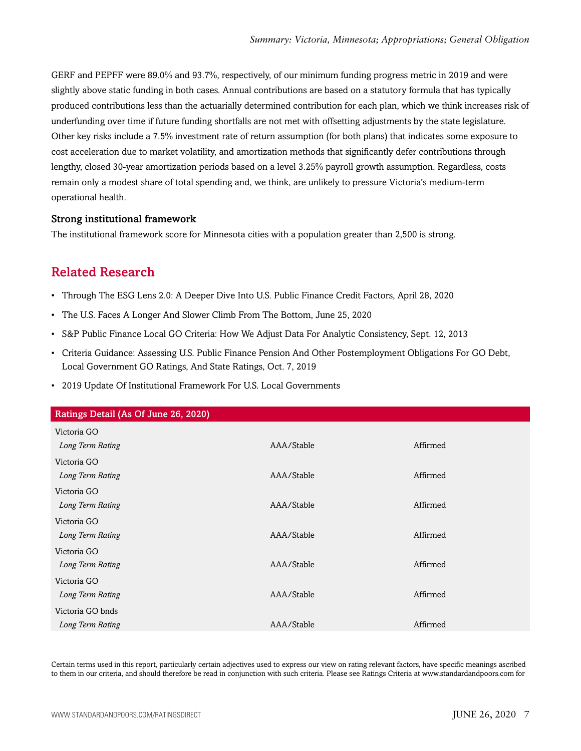GERF and PEPFF were 89.0% and 93.7%, respectively, of our minimum funding progress metric in 2019 and were slightly above static funding in both cases. Annual contributions are based on a statutory formula that has typically produced contributions less than the actuarially determined contribution for each plan, which we think increases risk of underfunding over time if future funding shortfalls are not met with offsetting adjustments by the state legislature. Other key risks include a 7.5% investment rate of return assumption (for both plans) that indicates some exposure to cost acceleration due to market volatility, and amortization methods that significantly defer contributions through lengthy, closed 30-year amortization periods based on a level 3.25% payroll growth assumption. Regardless, costs remain only a modest share of total spending and, we think, are unlikely to pressure Victoria's medium-term operational health.

### Strong institutional framework

<span id="page-6-0"></span>The institutional framework score for Minnesota cities with a population greater than 2,500 is strong.

## Related Research

- Through The ESG Lens 2.0: A Deeper Dive Into U.S. Public Finance Credit Factors, April 28, 2020
- The U.S. Faces A Longer And Slower Climb From The Bottom, June 25, 2020
- S&P Public Finance Local GO Criteria: How We Adjust Data For Analytic Consistency, Sept. 12, 2013
- Criteria Guidance: Assessing U.S. Public Finance Pension And Other Postemployment Obligations For GO Debt, Local Government GO Ratings, And State Ratings, Oct. 7, 2019
- 2019 Update Of Institutional Framework For U.S. Local Governments

| Ratings Detail (As Of June 26, 2020) |            |          |
|--------------------------------------|------------|----------|
| Victoria GO                          |            |          |
| Long Term Rating                     | AAA/Stable | Affirmed |
| Victoria GO                          |            |          |
| Long Term Rating                     | AAA/Stable | Affirmed |
| Victoria GO                          |            |          |
| Long Term Rating                     | AAA/Stable | Affirmed |
| Victoria GO                          |            |          |
| Long Term Rating                     | AAA/Stable | Affirmed |
| Victoria GO                          |            |          |
| Long Term Rating                     | AAA/Stable | Affirmed |
| Victoria GO                          |            |          |
| Long Term Rating                     | AAA/Stable | Affirmed |
| Victoria GO bnds                     |            |          |
| Long Term Rating                     | AAA/Stable | Affirmed |

Certain terms used in this report, particularly certain adjectives used to express our view on rating relevant factors, have specific meanings ascribed to them in our criteria, and should therefore be read in conjunction with such criteria. Please see Ratings Criteria at www.standardandpoors.com for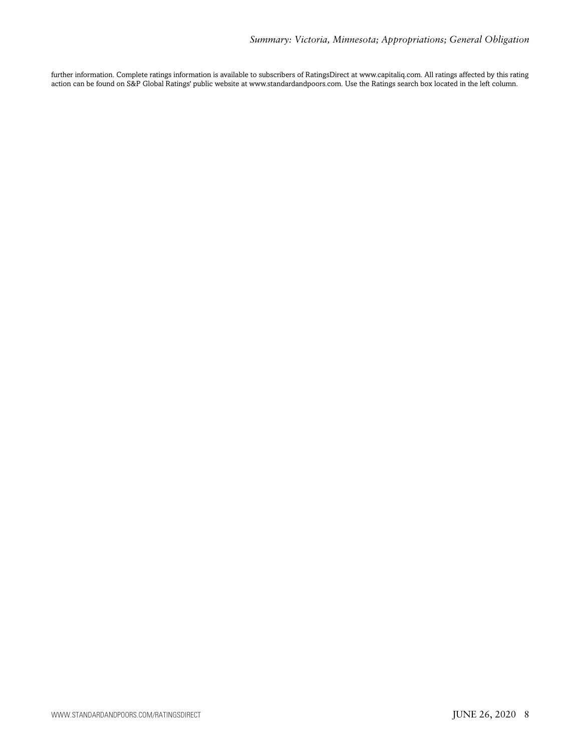further information. Complete ratings information is available to subscribers of RatingsDirect at www.capitaliq.com. All ratings affected by this rating action can be found on S&P Global Ratings' public website at www.standardandpoors.com. Use the Ratings search box located in the left column.